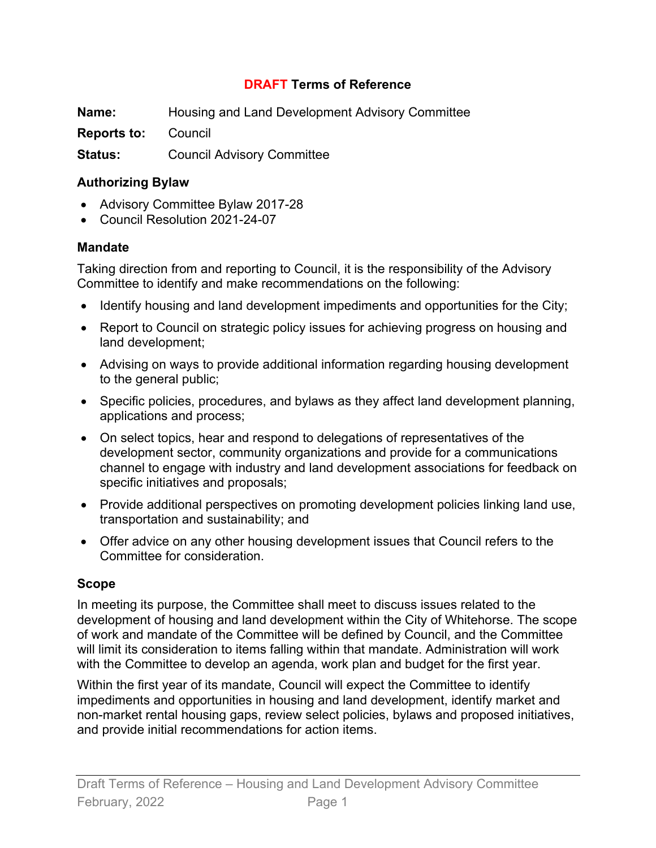#### **DRAFT Terms of Reference**

**Name:** Housing and Land Development Advisory Committee **Reports to:** Council **Status:** Council Advisory Committee

#### **Authorizing Bylaw**

- Advisory Committee Bylaw 2017-28
- Council Resolution 2021-24-07

#### **Mandate**

Taking direction from and reporting to Council, it is the responsibility of the Advisory Committee to identify and make recommendations on the following:

- Identify housing and land development impediments and opportunities for the City;
- Report to Council on strategic policy issues for achieving progress on housing and land development;
- Advising on ways to provide additional information regarding housing development to the general public;
- Specific policies, procedures, and bylaws as they affect land development planning, applications and process;
- On select topics, hear and respond to delegations of representatives of the development sector, community organizations and provide for a communications channel to engage with industry and land development associations for feedback on specific initiatives and proposals;
- Provide additional perspectives on promoting development policies linking land use, transportation and sustainability; and
- Offer advice on any other housing development issues that Council refers to the Committee for consideration.

#### **Scope**

In meeting its purpose, the Committee shall meet to discuss issues related to the development of housing and land development within the City of Whitehorse. The scope of work and mandate of the Committee will be defined by Council, and the Committee will limit its consideration to items falling within that mandate. Administration will work with the Committee to develop an agenda, work plan and budget for the first year.

Within the first year of its mandate, Council will expect the Committee to identify impediments and opportunities in housing and land development, identify market and non-market rental housing gaps, review select policies, bylaws and proposed initiatives, and provide initial recommendations for action items.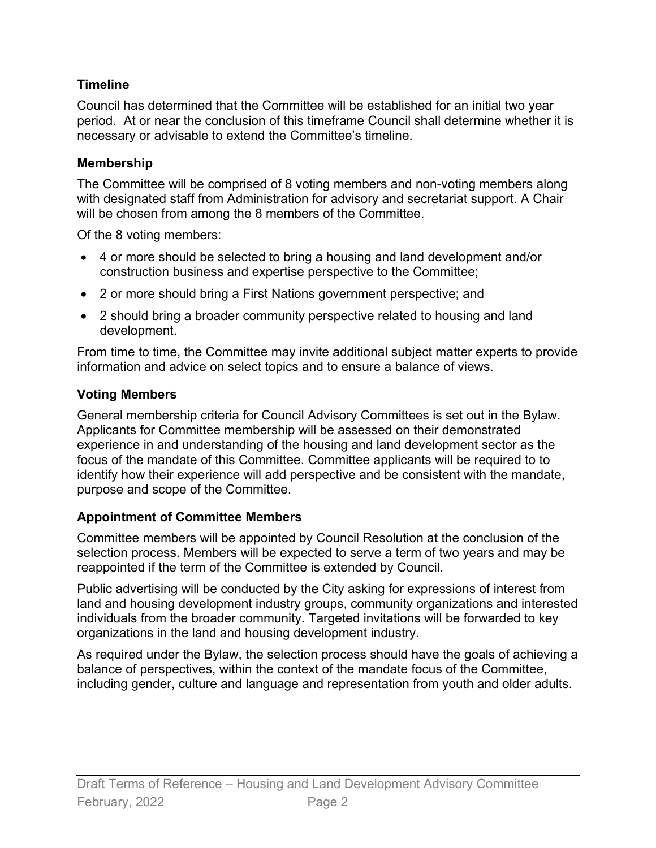## **Timeline**

Council has determined that the Committee will be established for an initial two year period. At or near the conclusion of this timeframe Council shall determine whether it is necessary or advisable to extend the Committee's timeline.

## **Membership**

The Committee will be comprised of 8 voting members and non-voting members along with designated staff from Administration for advisory and secretariat support. A Chair will be chosen from among the 8 members of the Committee.

Of the 8 voting members:

- 4 or more should be selected to bring a housing and land development and/or construction business and expertise perspective to the Committee;
- 2 or more should bring a First Nations government perspective; and
- 2 should bring a broader community perspective related to housing and land development.

From time to time, the Committee may invite additional subject matter experts to provide information and advice on select topics and to ensure a balance of views.

# **Voting Members**

General membership criteria for Council Advisory Committees is set out in the Bylaw. Applicants for Committee membership will be assessed on their demonstrated experience in and understanding of the housing and land development sector as the focus of the mandate of this Committee. Committee applicants will be required to to identify how their experience will add perspective and be consistent with the mandate, purpose and scope of the Committee.

# **Appointment of Committee Members**

Committee members will be appointed by Council Resolution at the conclusion of the selection process. Members will be expected to serve a term of two years and may be reappointed if the term of the Committee is extended by Council.

Public advertising will be conducted by the City asking for expressions of interest from land and housing development industry groups, community organizations and interested individuals from the broader community. Targeted invitations will be forwarded to key organizations in the land and housing development industry.

As required under the Bylaw, the selection process should have the goals of achieving a balance of perspectives, within the context of the mandate focus of the Committee, including gender, culture and language and representation from youth and older adults.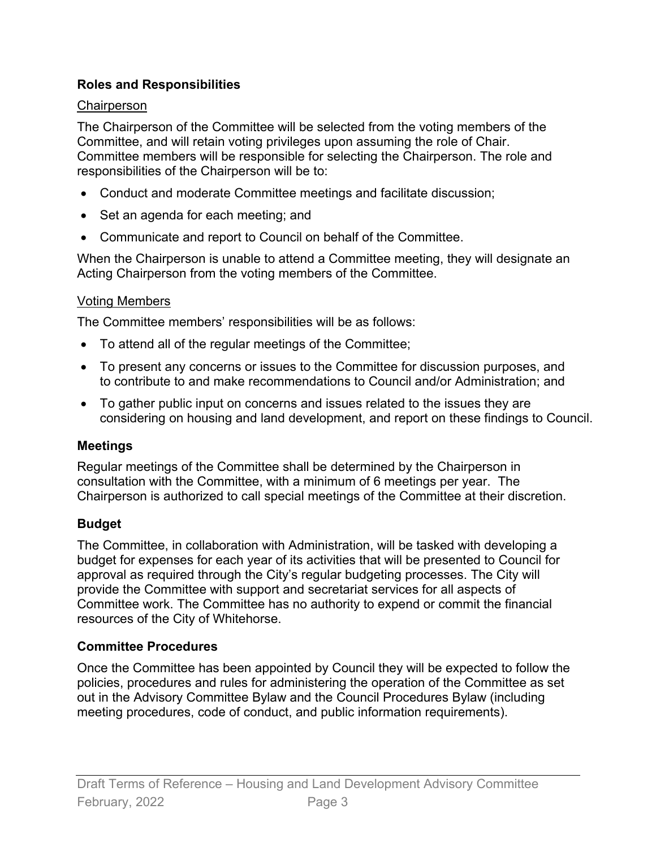### **Roles and Responsibilities**

#### **Chairperson**

The Chairperson of the Committee will be selected from the voting members of the Committee, and will retain voting privileges upon assuming the role of Chair. Committee members will be responsible for selecting the Chairperson. The role and responsibilities of the Chairperson will be to:

- Conduct and moderate Committee meetings and facilitate discussion;
- Set an agenda for each meeting; and
- Communicate and report to Council on behalf of the Committee.

When the Chairperson is unable to attend a Committee meeting, they will designate an Acting Chairperson from the voting members of the Committee.

### Voting Members

The Committee members' responsibilities will be as follows:

- To attend all of the regular meetings of the Committee;
- To present any concerns or issues to the Committee for discussion purposes, and to contribute to and make recommendations to Council and/or Administration; and
- To gather public input on concerns and issues related to the issues they are considering on housing and land development, and report on these findings to Council.

## **Meetings**

Regular meetings of the Committee shall be determined by the Chairperson in consultation with the Committee, with a minimum of 6 meetings per year. The Chairperson is authorized to call special meetings of the Committee at their discretion.

## **Budget**

The Committee, in collaboration with Administration, will be tasked with developing a budget for expenses for each year of its activities that will be presented to Council for approval as required through the City's regular budgeting processes. The City will provide the Committee with support and secretariat services for all aspects of Committee work. The Committee has no authority to expend or commit the financial resources of the City of Whitehorse.

## **Committee Procedures**

Once the Committee has been appointed by Council they will be expected to follow the policies, procedures and rules for administering the operation of the Committee as set out in the Advisory Committee Bylaw and the Council Procedures Bylaw (including meeting procedures, code of conduct, and public information requirements).